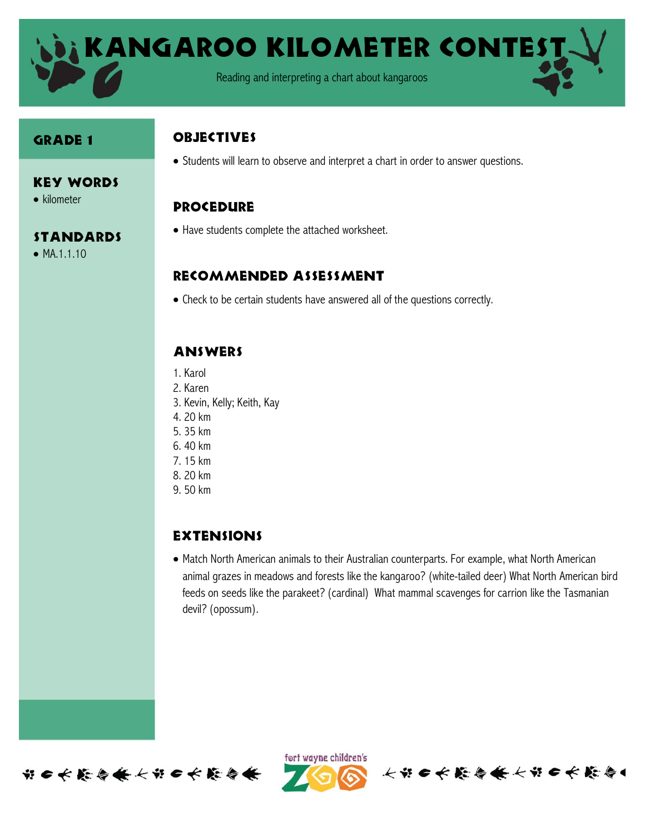

#### Grade 1

 $\bullet$  kilometer

 $\bullet$  MA.1.1.10

Key Words

**STANDARDS** 

#### **OBJECTIVES**

Students will learn to observe and interpret a chart in order to answer questions.

### Procedure

Have students complete the attached worksheet.

#### Recommended assessment

Check to be certain students have answered all of the questions correctly.

## **ANSWERS**

- 1. Karol
- 2. Karen
- 3. Kevin, Kelly; Keith, Kay
- 4. 20 km
- 5. 35 km
- 6. 40 km
- 7. 15 km
- 8. 20 km
- 9. 50 km

# **EXTENSIONS**

 Match North American animals to their Australian counterparts. For example, what North American animal grazes in meadows and forests like the kangaroo? (white-tailed deer) What North American bird feeds on seeds like the parakeet? (cardinal) What mammal scavenges for carrion like the Tasmanian devil? (opossum).





长节6长能与长长节6长能与1